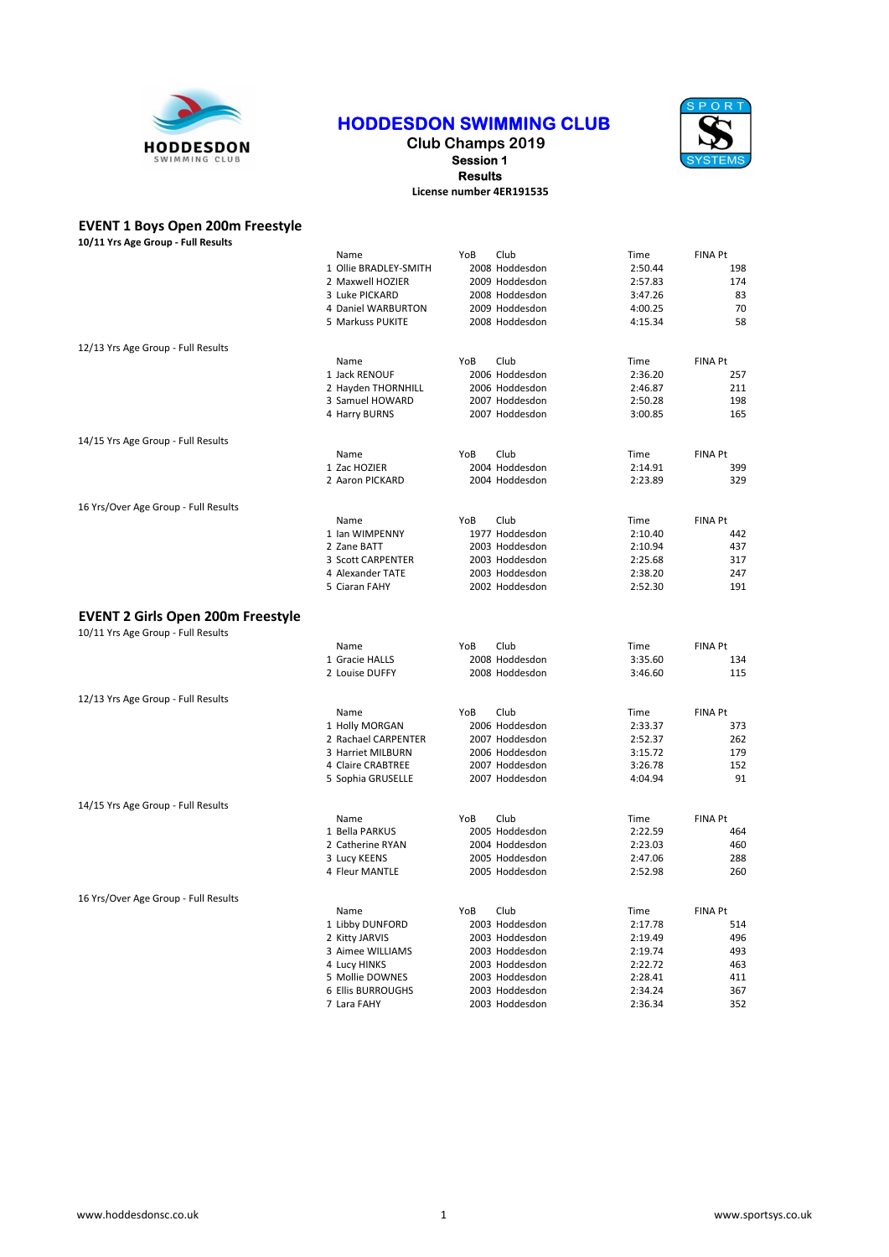

# HODDESDON SWIMMING CLUB

### Club Champs 2019 Session 1 Results License number 4ER191535



## EVENT 1 Boys Open 200m Freestyle

| 10/11 Yrs Age Group - Full Results                                             |                          |     |                |         |                |
|--------------------------------------------------------------------------------|--------------------------|-----|----------------|---------|----------------|
|                                                                                | Name                     | YoB | Club           | Time    | FINA Pt        |
|                                                                                | 1 Ollie BRADLEY-SMITH    |     | 2008 Hoddesdon | 2:50.44 | 198            |
|                                                                                | 2 Maxwell HOZIER         |     | 2009 Hoddesdon | 2:57.83 | 174            |
|                                                                                | 3 Luke PICKARD           |     | 2008 Hoddesdon | 3:47.26 | 83             |
|                                                                                | 4 Daniel WARBURTON       |     | 2009 Hoddesdon | 4:00.25 | 70             |
|                                                                                | 5 Markuss PUKITE         |     | 2008 Hoddesdon | 4:15.34 | 58             |
| 12/13 Yrs Age Group - Full Results                                             |                          |     |                |         |                |
|                                                                                | Name                     | YoB | Club           | Time    | FINA Pt        |
|                                                                                | 1 Jack RENOUF            |     | 2006 Hoddesdon | 2:36.20 | 257            |
|                                                                                | 2 Hayden THORNHILL       |     | 2006 Hoddesdon | 2:46.87 | 211            |
|                                                                                | 3 Samuel HOWARD          |     | 2007 Hoddesdon | 2:50.28 | 198            |
|                                                                                | 4 Harry BURNS            |     | 2007 Hoddesdon | 3:00.85 | 165            |
| 14/15 Yrs Age Group - Full Results                                             |                          |     |                |         |                |
|                                                                                | Name                     | YoB | Club           | Time    | FINA Pt        |
|                                                                                | 1 Zac HOZIER             |     | 2004 Hoddesdon | 2:14.91 | 399            |
|                                                                                | 2 Aaron PICKARD          |     | 2004 Hoddesdon | 2:23.89 | 329            |
| 16 Yrs/Over Age Group - Full Results                                           |                          |     |                |         |                |
|                                                                                | Name                     | YoB | Club           | Time    | FINA Pt        |
|                                                                                | 1 Ian WIMPENNY           |     | 1977 Hoddesdon | 2:10.40 | 442            |
|                                                                                | 2 Zane BATT              |     | 2003 Hoddesdon | 2:10.94 | 437            |
|                                                                                | 3 Scott CARPENTER        |     | 2003 Hoddesdon | 2:25.68 | 317            |
|                                                                                | 4 Alexander TATE         |     | 2003 Hoddesdon | 2:38.20 | 247            |
|                                                                                | 5 Ciaran FAHY            |     | 2002 Hoddesdon | 2:52.30 | 191            |
| <b>EVENT 2 Girls Open 200m Freestyle</b><br>10/11 Yrs Age Group - Full Results |                          |     |                |         |                |
|                                                                                | Name                     | YoB | Club           | Time    | FINA Pt        |
|                                                                                | 1 Gracie HALLS           |     | 2008 Hoddesdon | 3:35.60 | 134            |
|                                                                                | 2 Louise DUFFY           |     | 2008 Hoddesdon | 3:46.60 | 115            |
| 12/13 Yrs Age Group - Full Results                                             |                          |     |                |         |                |
|                                                                                | Name                     | YoB | Club           | Time    | <b>FINA Pt</b> |
|                                                                                | 1 Holly MORGAN           |     | 2006 Hoddesdon | 2:33.37 | 373            |
|                                                                                | 2 Rachael CARPENTER      |     | 2007 Hoddesdon | 2:52.37 | 262            |
|                                                                                | 3 Harriet MILBURN        |     | 2006 Hoddesdon | 3:15.72 | 179            |
|                                                                                | 4 Claire CRABTREE        |     | 2007 Hoddesdon | 3:26.78 | 152            |
|                                                                                | 5 Sophia GRUSELLE        |     | 2007 Hoddesdon | 4:04.94 | 91             |
| 14/15 Yrs Age Group - Full Results                                             |                          |     |                |         |                |
|                                                                                | Name                     | YoB | Club           | Time    | <b>FINA Pt</b> |
|                                                                                | 1 Bella PARKUS           |     | 2005 Hoddesdon | 2:22.59 | 464            |
|                                                                                | 2 Catherine RYAN         |     | 2004 Hoddesdon | 2:23.03 | 460            |
|                                                                                | 3 Lucy KEENS             |     | 2005 Hoddesdon | 2:47.06 | 288            |
|                                                                                | 4 Fleur MANTLE           |     | 2005 Hoddesdon | 2:52.98 | 260            |
| 16 Yrs/Over Age Group - Full Results                                           |                          |     |                |         |                |
|                                                                                | Name                     | YoB | Club           | Time    | FINA Pt        |
|                                                                                | 1 Libby DUNFORD          |     | 2003 Hoddesdon | 2:17.78 | 514            |
|                                                                                | 2 Kitty JARVIS           |     | 2003 Hoddesdon | 2:19.49 | 496            |
|                                                                                | 3 Aimee WILLIAMS         |     | 2003 Hoddesdon | 2:19.74 | 493            |
|                                                                                | 4 Lucy HINKS             |     | 2003 Hoddesdon | 2:22.72 | 463            |
|                                                                                | 5 Mollie DOWNES          |     | 2003 Hoddesdon | 2:28.41 | 411            |
|                                                                                | <b>6 Ellis BURROUGHS</b> |     | 2003 Hoddesdon | 2:34.24 | 367            |
|                                                                                | 7 Lara FAHY              |     | 2003 Hoddesdon | 2:36.34 | 352            |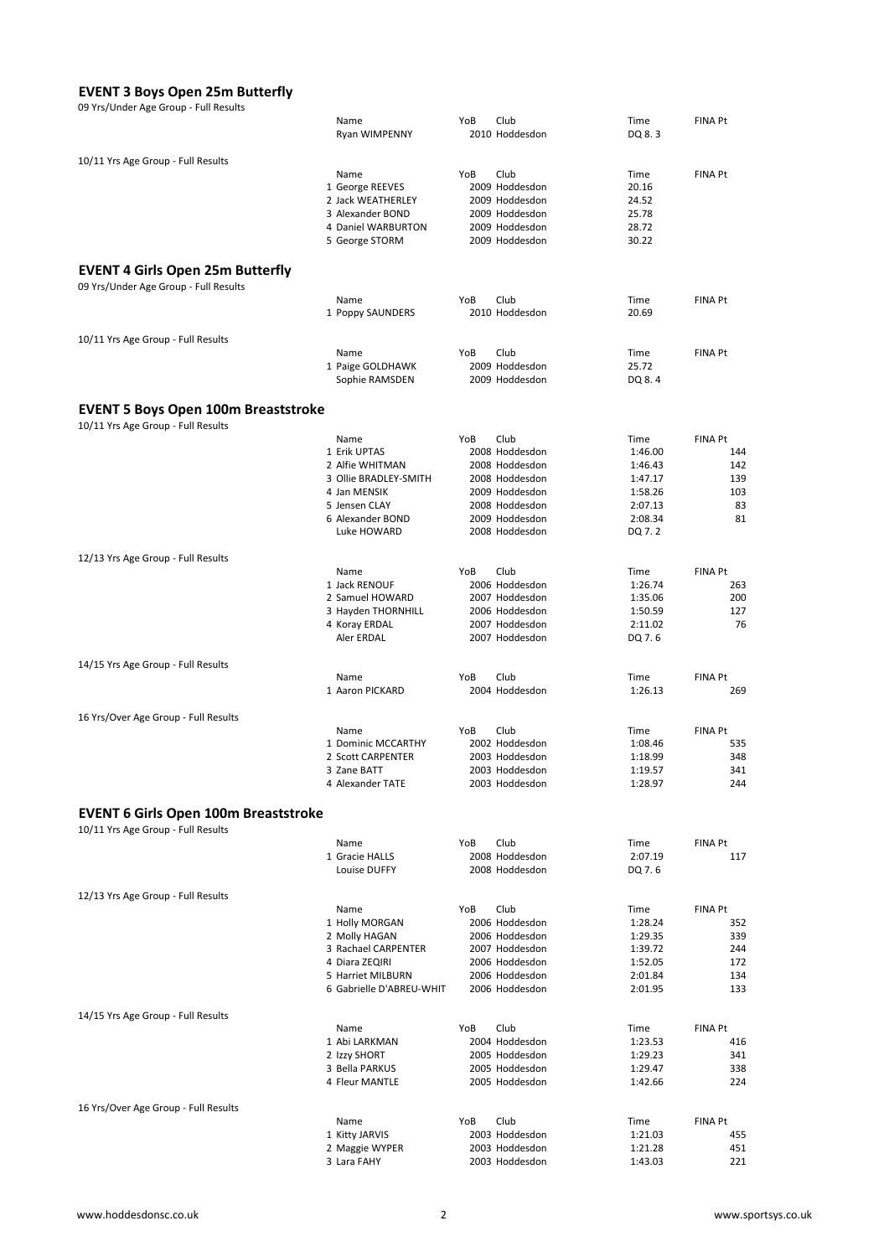#### EVENT 3 Boys Open 25m Butterfly

| 09 Yrs/Under Age Group - Full Results       |                                        |     |                                  |                    |                |
|---------------------------------------------|----------------------------------------|-----|----------------------------------|--------------------|----------------|
|                                             | Name                                   | YoB | Club                             | Time               | <b>FINA Pt</b> |
|                                             | Ryan WIMPENNY                          |     | 2010 Hoddesdon                   | DQ 8.3             |                |
| 10/11 Yrs Age Group - Full Results          |                                        |     |                                  |                    |                |
|                                             | Name                                   | YoB | Club                             | Time               | <b>FINA Pt</b> |
|                                             | 1 George REEVES                        |     | 2009 Hoddesdon                   | 20.16              |                |
|                                             | 2 Jack WEATHERLEY                      |     | 2009 Hoddesdon                   | 24.52              |                |
|                                             | 3 Alexander BOND<br>4 Daniel WARBURTON |     | 2009 Hoddesdon<br>2009 Hoddesdon | 25.78<br>28.72     |                |
|                                             | 5 George STORM                         |     | 2009 Hoddesdon                   | 30.22              |                |
|                                             |                                        |     |                                  |                    |                |
| <b>EVENT 4 Girls Open 25m Butterfly</b>     |                                        |     |                                  |                    |                |
| 09 Yrs/Under Age Group - Full Results       |                                        |     |                                  |                    |                |
|                                             | Name                                   | YoB | Club                             | Time               | <b>FINA Pt</b> |
|                                             | 1 Poppy SAUNDERS                       |     | 2010 Hoddesdon                   | 20.69              |                |
| 10/11 Yrs Age Group - Full Results          |                                        |     |                                  |                    |                |
|                                             | Name                                   | YoB | Club                             | Time               | <b>FINA Pt</b> |
|                                             | 1 Paige GOLDHAWK                       |     | 2009 Hoddesdon                   | 25.72              |                |
|                                             | Sophie RAMSDEN                         |     | 2009 Hoddesdon                   | DQ 8.4             |                |
| <b>EVENT 5 Boys Open 100m Breaststroke</b>  |                                        |     |                                  |                    |                |
| 10/11 Yrs Age Group - Full Results          |                                        |     |                                  |                    |                |
|                                             | Name                                   | YoB | Club                             | Time               | FINA Pt        |
|                                             | 1 Erik UPTAS                           |     | 2008 Hoddesdon                   | 1:46.00            | 144            |
|                                             | 2 Alfie WHITMAN                        |     | 2008 Hoddesdon                   | 1:46.43            | 142            |
|                                             | 3 Ollie BRADLEY-SMITH                  |     | 2008 Hoddesdon                   | 1:47.17            | 139            |
|                                             | 4 Jan MENSIK<br>5 Jensen CLAY          |     | 2009 Hoddesdon<br>2008 Hoddesdon | 1:58.26<br>2:07.13 | 103<br>83      |
|                                             | 6 Alexander BOND                       |     | 2009 Hoddesdon                   | 2:08.34            | 81             |
|                                             | Luke HOWARD                            |     | 2008 Hoddesdon                   | DQ 7.2             |                |
|                                             |                                        |     |                                  |                    |                |
| 12/13 Yrs Age Group - Full Results          | Name                                   | YoB | Club                             | Time               | <b>FINA Pt</b> |
|                                             | 1 Jack RENOUF                          |     | 2006 Hoddesdon                   | 1:26.74            | 263            |
|                                             | 2 Samuel HOWARD                        |     | 2007 Hoddesdon                   | 1:35.06            | 200            |
|                                             | 3 Hayden THORNHILL                     |     | 2006 Hoddesdon                   | 1:50.59            | 127            |
|                                             | 4 Koray ERDAL<br>Aler ERDAL            |     | 2007 Hoddesdon                   | 2:11.02            | 76             |
|                                             |                                        |     | 2007 Hoddesdon                   | DQ 7.6             |                |
| 14/15 Yrs Age Group - Full Results          |                                        |     |                                  |                    |                |
|                                             | Name                                   | YoB | Club                             | Time               | <b>FINA Pt</b> |
|                                             | 1 Aaron PICKARD                        |     | 2004 Hoddesdon                   | 1:26.13            | 269            |
| 16 Yrs/Over Age Group - Full Results        |                                        |     |                                  |                    |                |
|                                             | Name                                   | YoB | Club                             | Time               | <b>FINA Pt</b> |
|                                             | 1 Dominic MCCARTHY                     |     | 2002 Hoddesdon                   | 1:08.46            | 535            |
|                                             | 2 Scott CARPENTER                      |     | 2003 Hoddesdon                   | 1:18.99            | 348            |
|                                             | 3 Zane BATT<br>4 Alexander TATE        |     | 2003 Hoddesdon<br>2003 Hoddesdon | 1:19.57<br>1:28.97 | 341<br>244     |
|                                             |                                        |     |                                  |                    |                |
| <b>EVENT 6 Girls Open 100m Breaststroke</b> |                                        |     |                                  |                    |                |
| 10/11 Yrs Age Group - Full Results          |                                        |     |                                  |                    |                |
|                                             | Name                                   | YoB | Club                             | Time               | <b>FINA Pt</b> |
|                                             | 1 Gracie HALLS<br>Louise DUFFY         |     | 2008 Hoddesdon<br>2008 Hoddesdon | 2:07.19<br>DQ 7.6  | 117            |
|                                             |                                        |     |                                  |                    |                |
| 12/13 Yrs Age Group - Full Results          |                                        |     |                                  |                    |                |
|                                             | Name                                   | YoB | Club                             | Time               | FINA Pt        |
|                                             | 1 Holly MORGAN                         |     | 2006 Hoddesdon                   | 1:28.24            | 352            |
|                                             | 2 Molly HAGAN<br>3 Rachael CARPENTER   |     | 2006 Hoddesdon<br>2007 Hoddesdon | 1:29.35<br>1:39.72 | 339<br>244     |
|                                             | 4 Diara ZEQIRI                         |     | 2006 Hoddesdon                   | 1:52.05            | 172            |
|                                             | 5 Harriet MILBURN                      |     | 2006 Hoddesdon                   | 2:01.84            | 134            |
|                                             | 6 Gabrielle D'ABREU-WHIT               |     | 2006 Hoddesdon                   | 2:01.95            | 133            |
| 14/15 Yrs Age Group - Full Results          |                                        |     |                                  |                    |                |
|                                             | Name                                   | YoB | Club                             | Time               | <b>FINA Pt</b> |
|                                             | 1 Abi LARKMAN                          |     | 2004 Hoddesdon                   | 1:23.53            | 416            |
|                                             | 2 Izzy SHORT                           |     | 2005 Hoddesdon                   | 1:29.23            | 341            |
|                                             | 3 Bella PARKUS                         |     | 2005 Hoddesdon                   | 1:29.47            | 338            |
|                                             | 4 Fleur MANTLE                         |     | 2005 Hoddesdon                   | 1:42.66            | 224            |
| 16 Yrs/Over Age Group - Full Results        |                                        |     |                                  |                    |                |
|                                             | Name                                   | YoB | Club                             | Time               | FINA Pt        |
|                                             | 1 Kitty JARVIS                         |     | 2003 Hoddesdon                   | 1:21.03            | 455            |
|                                             | 2 Maggie WYPER<br>3 Lara FAHY          |     | 2003 Hoddesdon<br>2003 Hoddesdon | 1:21.28<br>1:43.03 | 451<br>221     |
|                                             |                                        |     |                                  |                    |                |